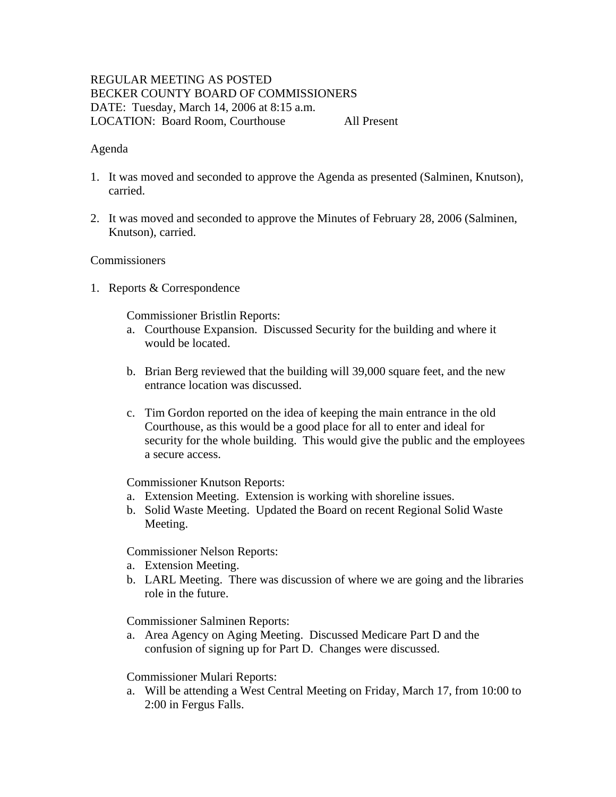# REGULAR MEETING AS POSTED BECKER COUNTY BOARD OF COMMISSIONERS DATE: Tuesday, March 14, 2006 at 8:15 a.m. LOCATION: Board Room, Courthouse All Present

### Agenda

- 1. It was moved and seconded to approve the Agenda as presented (Salminen, Knutson), carried.
- 2. It was moved and seconded to approve the Minutes of February 28, 2006 (Salminen, Knutson), carried.

#### **Commissioners**

1. Reports & Correspondence

Commissioner Bristlin Reports:

- a. Courthouse Expansion. Discussed Security for the building and where it would be located.
- b. Brian Berg reviewed that the building will 39,000 square feet, and the new entrance location was discussed.
- c. Tim Gordon reported on the idea of keeping the main entrance in the old Courthouse, as this would be a good place for all to enter and ideal for security for the whole building. This would give the public and the employees a secure access.

Commissioner Knutson Reports:

- a. Extension Meeting. Extension is working with shoreline issues.
- b. Solid Waste Meeting. Updated the Board on recent Regional Solid Waste Meeting.

Commissioner Nelson Reports:

- a. Extension Meeting.
- b. LARL Meeting. There was discussion of where we are going and the libraries role in the future.

Commissioner Salminen Reports:

a. Area Agency on Aging Meeting. Discussed Medicare Part D and the confusion of signing up for Part D. Changes were discussed.

#### Commissioner Mulari Reports:

a. Will be attending a West Central Meeting on Friday, March 17, from 10:00 to 2:00 in Fergus Falls.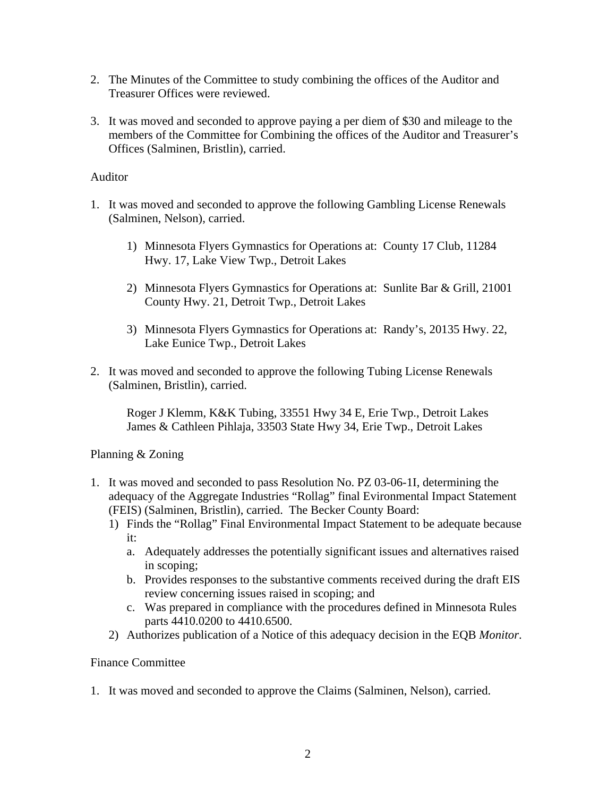- 2. The Minutes of the Committee to study combining the offices of the Auditor and Treasurer Offices were reviewed.
- 3. It was moved and seconded to approve paying a per diem of \$30 and mileage to the members of the Committee for Combining the offices of the Auditor and Treasurer's Offices (Salminen, Bristlin), carried.

### Auditor

- 1. It was moved and seconded to approve the following Gambling License Renewals (Salminen, Nelson), carried.
	- 1) Minnesota Flyers Gymnastics for Operations at: County 17 Club, 11284 Hwy. 17, Lake View Twp., Detroit Lakes
	- 2) Minnesota Flyers Gymnastics for Operations at: Sunlite Bar & Grill, 21001 County Hwy. 21, Detroit Twp., Detroit Lakes
	- 3) Minnesota Flyers Gymnastics for Operations at: Randy's, 20135 Hwy. 22, Lake Eunice Twp., Detroit Lakes
- 2. It was moved and seconded to approve the following Tubing License Renewals (Salminen, Bristlin), carried.

Roger J Klemm, K&K Tubing, 33551 Hwy 34 E, Erie Twp., Detroit Lakes James & Cathleen Pihlaja, 33503 State Hwy 34, Erie Twp., Detroit Lakes

### Planning & Zoning

- 1. It was moved and seconded to pass Resolution No. PZ 03-06-1I, determining the adequacy of the Aggregate Industries "Rollag" final Evironmental Impact Statement (FEIS) (Salminen, Bristlin), carried. The Becker County Board:
	- 1) Finds the "Rollag" Final Environmental Impact Statement to be adequate because it:
		- a. Adequately addresses the potentially significant issues and alternatives raised in scoping;
		- b. Provides responses to the substantive comments received during the draft EIS review concerning issues raised in scoping; and
		- c. Was prepared in compliance with the procedures defined in Minnesota Rules parts 4410.0200 to 4410.6500.
	- 2) Authorizes publication of a Notice of this adequacy decision in the EQB *Monitor*.

# Finance Committee

1. It was moved and seconded to approve the Claims (Salminen, Nelson), carried.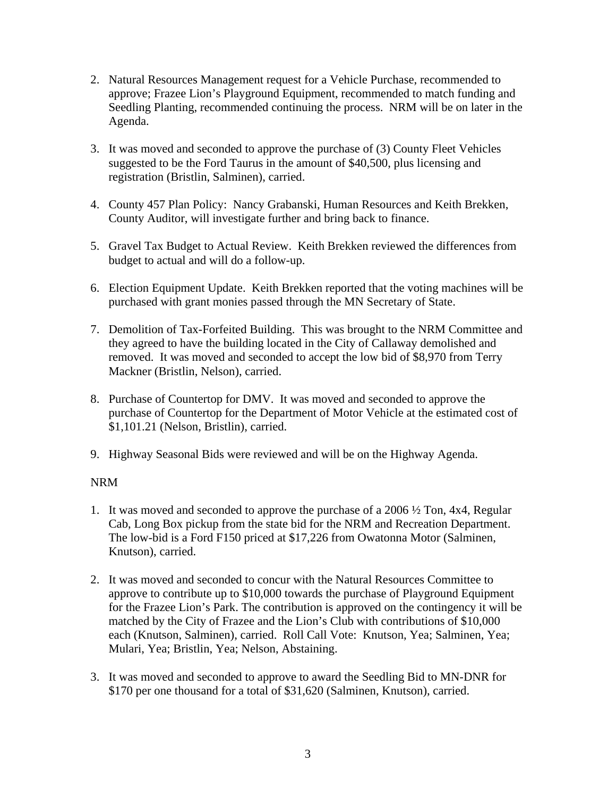- 2. Natural Resources Management request for a Vehicle Purchase, recommended to approve; Frazee Lion's Playground Equipment, recommended to match funding and Seedling Planting, recommended continuing the process. NRM will be on later in the Agenda.
- 3. It was moved and seconded to approve the purchase of (3) County Fleet Vehicles suggested to be the Ford Taurus in the amount of \$40,500, plus licensing and registration (Bristlin, Salminen), carried.
- 4. County 457 Plan Policy: Nancy Grabanski, Human Resources and Keith Brekken, County Auditor, will investigate further and bring back to finance.
- 5. Gravel Tax Budget to Actual Review. Keith Brekken reviewed the differences from budget to actual and will do a follow-up.
- 6. Election Equipment Update. Keith Brekken reported that the voting machines will be purchased with grant monies passed through the MN Secretary of State.
- 7. Demolition of Tax-Forfeited Building. This was brought to the NRM Committee and they agreed to have the building located in the City of Callaway demolished and removed. It was moved and seconded to accept the low bid of \$8,970 from Terry Mackner (Bristlin, Nelson), carried.
- 8. Purchase of Countertop for DMV. It was moved and seconded to approve the purchase of Countertop for the Department of Motor Vehicle at the estimated cost of \$1,101.21 (Nelson, Bristlin), carried.
- 9. Highway Seasonal Bids were reviewed and will be on the Highway Agenda.

# NRM

- 1. It was moved and seconded to approve the purchase of a 2006 ½ Ton, 4x4, Regular Cab, Long Box pickup from the state bid for the NRM and Recreation Department. The low-bid is a Ford F150 priced at \$17,226 from Owatonna Motor (Salminen, Knutson), carried.
- 2. It was moved and seconded to concur with the Natural Resources Committee to approve to contribute up to \$10,000 towards the purchase of Playground Equipment for the Frazee Lion's Park. The contribution is approved on the contingency it will be matched by the City of Frazee and the Lion's Club with contributions of \$10,000 each (Knutson, Salminen), carried. Roll Call Vote: Knutson, Yea; Salminen, Yea; Mulari, Yea; Bristlin, Yea; Nelson, Abstaining.
- 3. It was moved and seconded to approve to award the Seedling Bid to MN-DNR for \$170 per one thousand for a total of \$31,620 (Salminen, Knutson), carried.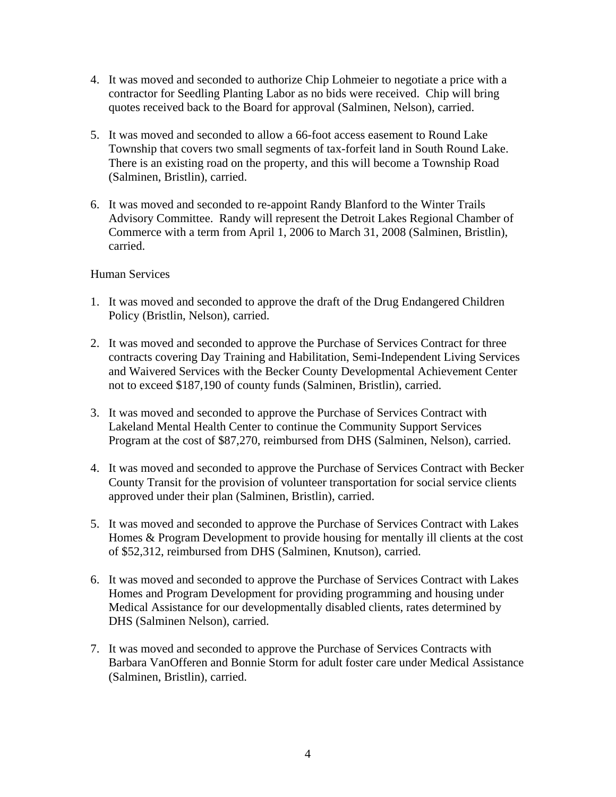- 4. It was moved and seconded to authorize Chip Lohmeier to negotiate a price with a contractor for Seedling Planting Labor as no bids were received. Chip will bring quotes received back to the Board for approval (Salminen, Nelson), carried.
- 5. It was moved and seconded to allow a 66-foot access easement to Round Lake Township that covers two small segments of tax-forfeit land in South Round Lake. There is an existing road on the property, and this will become a Township Road (Salminen, Bristlin), carried.
- 6. It was moved and seconded to re-appoint Randy Blanford to the Winter Trails Advisory Committee. Randy will represent the Detroit Lakes Regional Chamber of Commerce with a term from April 1, 2006 to March 31, 2008 (Salminen, Bristlin), carried.

## Human Services

- 1. It was moved and seconded to approve the draft of the Drug Endangered Children Policy (Bristlin, Nelson), carried.
- 2. It was moved and seconded to approve the Purchase of Services Contract for three contracts covering Day Training and Habilitation, Semi-Independent Living Services and Waivered Services with the Becker County Developmental Achievement Center not to exceed \$187,190 of county funds (Salminen, Bristlin), carried.
- 3. It was moved and seconded to approve the Purchase of Services Contract with Lakeland Mental Health Center to continue the Community Support Services Program at the cost of \$87,270, reimbursed from DHS (Salminen, Nelson), carried.
- 4. It was moved and seconded to approve the Purchase of Services Contract with Becker County Transit for the provision of volunteer transportation for social service clients approved under their plan (Salminen, Bristlin), carried.
- 5. It was moved and seconded to approve the Purchase of Services Contract with Lakes Homes & Program Development to provide housing for mentally ill clients at the cost of \$52,312, reimbursed from DHS (Salminen, Knutson), carried.
- 6. It was moved and seconded to approve the Purchase of Services Contract with Lakes Homes and Program Development for providing programming and housing under Medical Assistance for our developmentally disabled clients, rates determined by DHS (Salminen Nelson), carried.
- 7. It was moved and seconded to approve the Purchase of Services Contracts with Barbara VanOfferen and Bonnie Storm for adult foster care under Medical Assistance (Salminen, Bristlin), carried.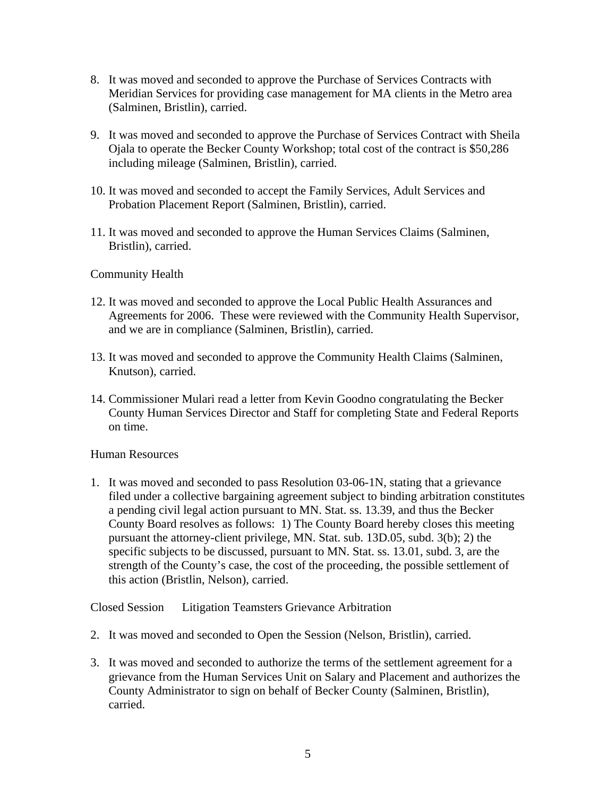- 8. It was moved and seconded to approve the Purchase of Services Contracts with Meridian Services for providing case management for MA clients in the Metro area (Salminen, Bristlin), carried.
- 9. It was moved and seconded to approve the Purchase of Services Contract with Sheila Ojala to operate the Becker County Workshop; total cost of the contract is \$50,286 including mileage (Salminen, Bristlin), carried.
- 10. It was moved and seconded to accept the Family Services, Adult Services and Probation Placement Report (Salminen, Bristlin), carried.
- 11. It was moved and seconded to approve the Human Services Claims (Salminen, Bristlin), carried.

## Community Health

- 12. It was moved and seconded to approve the Local Public Health Assurances and Agreements for 2006. These were reviewed with the Community Health Supervisor, and we are in compliance (Salminen, Bristlin), carried.
- 13. It was moved and seconded to approve the Community Health Claims (Salminen, Knutson), carried.
- 14. Commissioner Mulari read a letter from Kevin Goodno congratulating the Becker County Human Services Director and Staff for completing State and Federal Reports on time.

### Human Resources

1. It was moved and seconded to pass Resolution 03-06-1N, stating that a grievance filed under a collective bargaining agreement subject to binding arbitration constitutes a pending civil legal action pursuant to MN. Stat. ss. 13.39, and thus the Becker County Board resolves as follows: 1) The County Board hereby closes this meeting pursuant the attorney-client privilege, MN. Stat. sub. 13D.05, subd. 3(b); 2) the specific subjects to be discussed, pursuant to MN. Stat. ss. 13.01, subd. 3, are the strength of the County's case, the cost of the proceeding, the possible settlement of this action (Bristlin, Nelson), carried.

Closed Session Litigation Teamsters Grievance Arbitration

- 2. It was moved and seconded to Open the Session (Nelson, Bristlin), carried.
- 3. It was moved and seconded to authorize the terms of the settlement agreement for a grievance from the Human Services Unit on Salary and Placement and authorizes the County Administrator to sign on behalf of Becker County (Salminen, Bristlin), carried.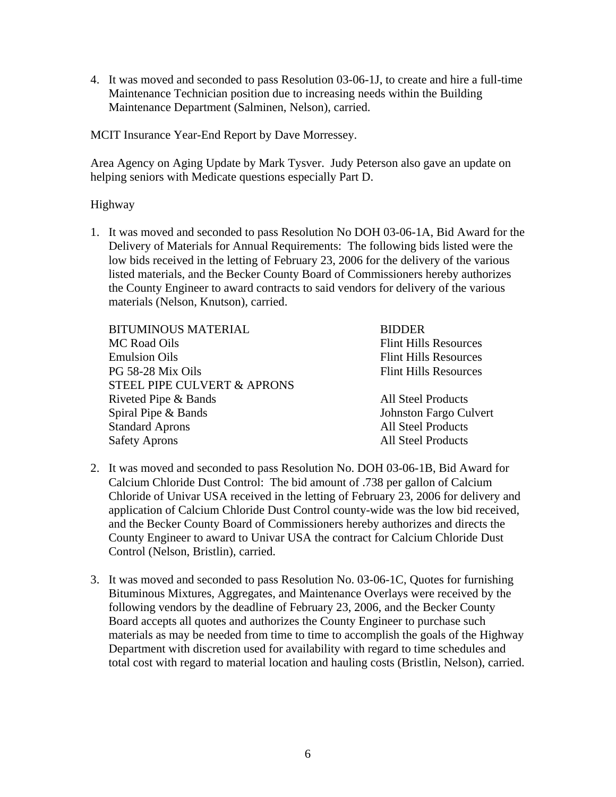4. It was moved and seconded to pass Resolution 03-06-1J, to create and hire a full-time Maintenance Technician position due to increasing needs within the Building Maintenance Department (Salminen, Nelson), carried.

MCIT Insurance Year-End Report by Dave Morressey.

Area Agency on Aging Update by Mark Tysver. Judy Peterson also gave an update on helping seniors with Medicate questions especially Part D.

### Highway

1. It was moved and seconded to pass Resolution No DOH 03-06-1A, Bid Award for the Delivery of Materials for Annual Requirements: The following bids listed were the low bids received in the letting of February 23, 2006 for the delivery of the various listed materials, and the Becker County Board of Commissioners hereby authorizes the County Engineer to award contracts to said vendors for delivery of the various materials (Nelson, Knutson), carried.

| <b>BIDDER</b>                |
|------------------------------|
| <b>Flint Hills Resources</b> |
| <b>Flint Hills Resources</b> |
| <b>Flint Hills Resources</b> |
|                              |
| <b>All Steel Products</b>    |
| Johnston Fargo Culvert       |
| <b>All Steel Products</b>    |
| <b>All Steel Products</b>    |
|                              |

- 2. It was moved and seconded to pass Resolution No. DOH 03-06-1B, Bid Award for Calcium Chloride Dust Control: The bid amount of .738 per gallon of Calcium Chloride of Univar USA received in the letting of February 23, 2006 for delivery and application of Calcium Chloride Dust Control county-wide was the low bid received, and the Becker County Board of Commissioners hereby authorizes and directs the County Engineer to award to Univar USA the contract for Calcium Chloride Dust Control (Nelson, Bristlin), carried.
- 3. It was moved and seconded to pass Resolution No. 03-06-1C, Quotes for furnishing Bituminous Mixtures, Aggregates, and Maintenance Overlays were received by the following vendors by the deadline of February 23, 2006, and the Becker County Board accepts all quotes and authorizes the County Engineer to purchase such materials as may be needed from time to time to accomplish the goals of the Highway Department with discretion used for availability with regard to time schedules and total cost with regard to material location and hauling costs (Bristlin, Nelson), carried.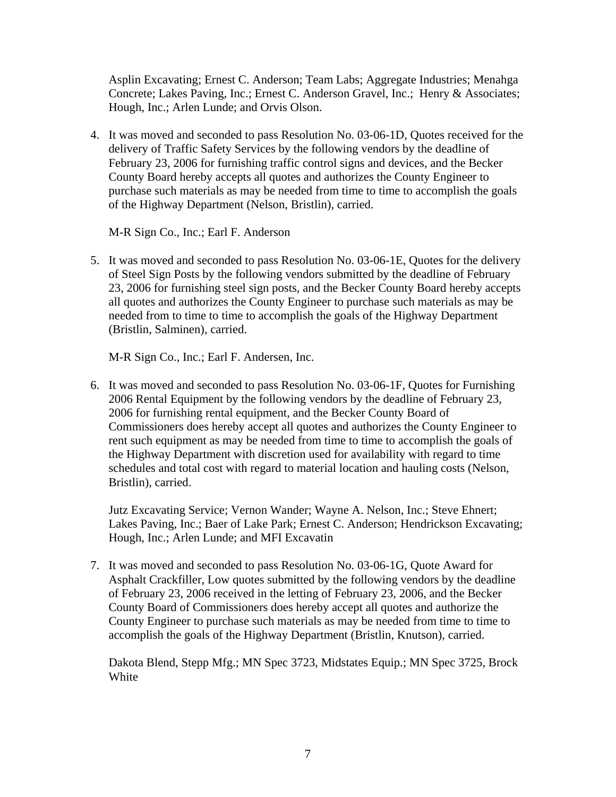Asplin Excavating; Ernest C. Anderson; Team Labs; Aggregate Industries; Menahga Concrete; Lakes Paving, Inc.; Ernest C. Anderson Gravel, Inc.; Henry & Associates; Hough, Inc.; Arlen Lunde; and Orvis Olson.

4. It was moved and seconded to pass Resolution No. 03-06-1D, Quotes received for the delivery of Traffic Safety Services by the following vendors by the deadline of February 23, 2006 for furnishing traffic control signs and devices, and the Becker County Board hereby accepts all quotes and authorizes the County Engineer to purchase such materials as may be needed from time to time to accomplish the goals of the Highway Department (Nelson, Bristlin), carried.

M-R Sign Co., Inc.; Earl F. Anderson

5. It was moved and seconded to pass Resolution No. 03-06-1E, Quotes for the delivery of Steel Sign Posts by the following vendors submitted by the deadline of February 23, 2006 for furnishing steel sign posts, and the Becker County Board hereby accepts all quotes and authorizes the County Engineer to purchase such materials as may be needed from to time to time to accomplish the goals of the Highway Department (Bristlin, Salminen), carried.

M-R Sign Co., Inc.; Earl F. Andersen, Inc.

6. It was moved and seconded to pass Resolution No. 03-06-1F, Quotes for Furnishing 2006 Rental Equipment by the following vendors by the deadline of February 23, 2006 for furnishing rental equipment, and the Becker County Board of Commissioners does hereby accept all quotes and authorizes the County Engineer to rent such equipment as may be needed from time to time to accomplish the goals of the Highway Department with discretion used for availability with regard to time schedules and total cost with regard to material location and hauling costs (Nelson, Bristlin), carried.

Jutz Excavating Service; Vernon Wander; Wayne A. Nelson, Inc.; Steve Ehnert; Lakes Paving, Inc.; Baer of Lake Park; Ernest C. Anderson; Hendrickson Excavating; Hough, Inc.; Arlen Lunde; and MFI Excavatin

7. It was moved and seconded to pass Resolution No. 03-06-1G, Quote Award for Asphalt Crackfiller, Low quotes submitted by the following vendors by the deadline of February 23, 2006 received in the letting of February 23, 2006, and the Becker County Board of Commissioners does hereby accept all quotes and authorize the County Engineer to purchase such materials as may be needed from time to time to accomplish the goals of the Highway Department (Bristlin, Knutson), carried.

Dakota Blend, Stepp Mfg.; MN Spec 3723, Midstates Equip.; MN Spec 3725, Brock White